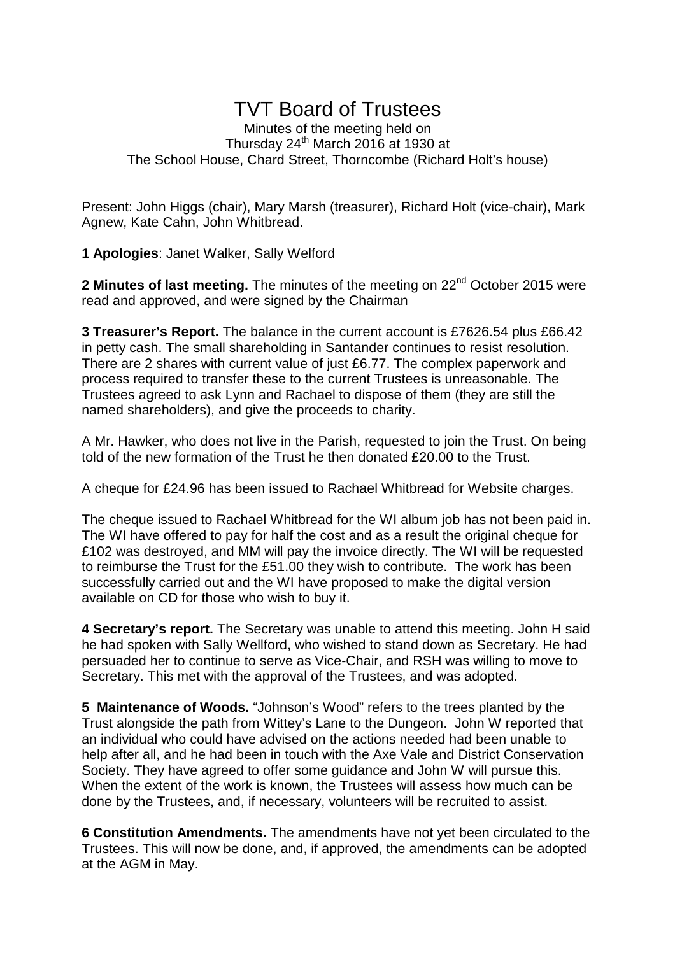## TVT Board of Trustees

Minutes of the meeting held on Thursday 24<sup>th</sup> March 2016 at 1930 at The School House, Chard Street, Thorncombe (Richard Holt's house)

Present: John Higgs (chair), Mary Marsh (treasurer), Richard Holt (vice-chair), Mark Agnew, Kate Cahn, John Whitbread.

**1 Apologies**: Janet Walker, Sally Welford

**2 Minutes of last meeting.** The minutes of the meeting on 22<sup>nd</sup> October 2015 were read and approved, and were signed by the Chairman

**3 Treasurer's Report.** The balance in the current account is £7626.54 plus £66.42 in petty cash. The small shareholding in Santander continues to resist resolution. There are 2 shares with current value of just £6.77. The complex paperwork and process required to transfer these to the current Trustees is unreasonable. The Trustees agreed to ask Lynn and Rachael to dispose of them (they are still the named shareholders), and give the proceeds to charity.

A Mr. Hawker, who does not live in the Parish, requested to join the Trust. On being told of the new formation of the Trust he then donated £20.00 to the Trust.

A cheque for £24.96 has been issued to Rachael Whitbread for Website charges.

The cheque issued to Rachael Whitbread for the WI album job has not been paid in. The WI have offered to pay for half the cost and as a result the original cheque for £102 was destroyed, and MM will pay the invoice directly. The WI will be requested to reimburse the Trust for the £51.00 they wish to contribute. The work has been successfully carried out and the WI have proposed to make the digital version available on CD for those who wish to buy it.

**4 Secretary's report.** The Secretary was unable to attend this meeting. John H said he had spoken with Sally Wellford, who wished to stand down as Secretary. He had persuaded her to continue to serve as Vice-Chair, and RSH was willing to move to Secretary. This met with the approval of the Trustees, and was adopted.

**5 Maintenance of Woods.** "Johnson's Wood" refers to the trees planted by the Trust alongside the path from Wittey's Lane to the Dungeon. John W reported that an individual who could have advised on the actions needed had been unable to help after all, and he had been in touch with the Axe Vale and District Conservation Society. They have agreed to offer some guidance and John W will pursue this. When the extent of the work is known, the Trustees will assess how much can be done by the Trustees, and, if necessary, volunteers will be recruited to assist.

**6 Constitution Amendments.** The amendments have not yet been circulated to the Trustees. This will now be done, and, if approved, the amendments can be adopted at the AGM in May.